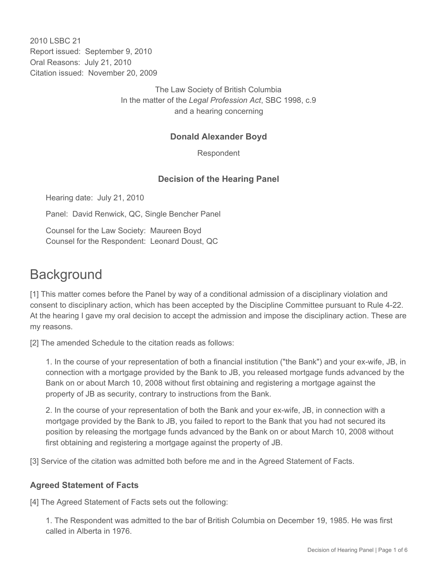2010 LSBC 21 Report issued: September 9, 2010 Oral Reasons: July 21, 2010 Citation issued: November 20, 2009

> The Law Society of British Columbia In the matter of the *Legal Profession Act*, SBC 1998, c.9 and a hearing concerning

#### **Donald Alexander Boyd**

Respondent

### **Decision of the Hearing Panel**

Hearing date: July 21, 2010

Panel: David Renwick, QC, Single Bencher Panel

Counsel for the Law Society: Maureen Boyd Counsel for the Respondent: Leonard Doust, QC

### **Background**

[1] This matter comes before the Panel by way of a conditional admission of a disciplinary violation and consent to disciplinary action, which has been accepted by the Discipline Committee pursuant to Rule 4-22. At the hearing I gave my oral decision to accept the admission and impose the disciplinary action. These are my reasons.

[2] The amended Schedule to the citation reads as follows:

1. In the course of your representation of both a financial institution ("the Bank") and your ex-wife, JB, in connection with a mortgage provided by the Bank to JB, you released mortgage funds advanced by the Bank on or about March 10, 2008 without first obtaining and registering a mortgage against the property of JB as security, contrary to instructions from the Bank.

2. In the course of your representation of both the Bank and your ex-wife, JB, in connection with a mortgage provided by the Bank to JB, you failed to report to the Bank that you had not secured its position by releasing the mortgage funds advanced by the Bank on or about March 10, 2008 without first obtaining and registering a mortgage against the property of JB.

[3] Service of the citation was admitted both before me and in the Agreed Statement of Facts.

#### **Agreed Statement of Facts**

[4] The Agreed Statement of Facts sets out the following:

1. The Respondent was admitted to the bar of British Columbia on December 19, 1985. He was first called in Alberta in 1976.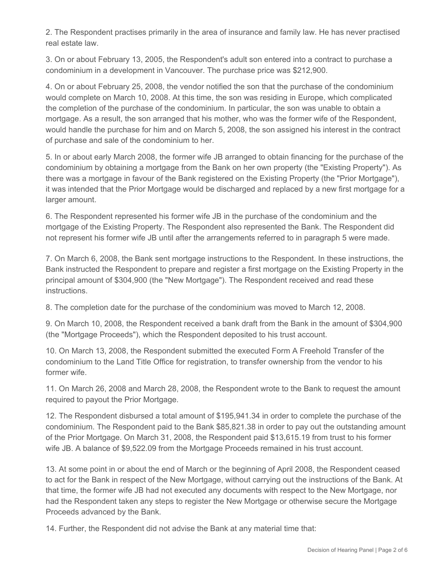2. The Respondent practises primarily in the area of insurance and family law. He has never practised real estate law.

3. On or about February 13, 2005, the Respondent's adult son entered into a contract to purchase a condominium in a development in Vancouver. The purchase price was \$212,900.

4. On or about February 25, 2008, the vendor notified the son that the purchase of the condominium would complete on March 10, 2008. At this time, the son was residing in Europe, which complicated the completion of the purchase of the condominium. In particular, the son was unable to obtain a mortgage. As a result, the son arranged that his mother, who was the former wife of the Respondent, would handle the purchase for him and on March 5, 2008, the son assigned his interest in the contract of purchase and sale of the condominium to her.

5. In or about early March 2008, the former wife JB arranged to obtain financing for the purchase of the condominium by obtaining a mortgage from the Bank on her own property (the "Existing Property"). As there was a mortgage in favour of the Bank registered on the Existing Property (the "Prior Mortgage"), it was intended that the Prior Mortgage would be discharged and replaced by a new first mortgage for a larger amount.

6. The Respondent represented his former wife JB in the purchase of the condominium and the mortgage of the Existing Property. The Respondent also represented the Bank. The Respondent did not represent his former wife JB until after the arrangements referred to in paragraph 5 were made.

7. On March 6, 2008, the Bank sent mortgage instructions to the Respondent. In these instructions, the Bank instructed the Respondent to prepare and register a first mortgage on the Existing Property in the principal amount of \$304,900 (the "New Mortgage"). The Respondent received and read these instructions.

8. The completion date for the purchase of the condominium was moved to March 12, 2008.

9. On March 10, 2008, the Respondent received a bank draft from the Bank in the amount of \$304,900 (the "Mortgage Proceeds"), which the Respondent deposited to his trust account.

10. On March 13, 2008, the Respondent submitted the executed Form A Freehold Transfer of the condominium to the Land Title Office for registration, to transfer ownership from the vendor to his former wife.

11. On March 26, 2008 and March 28, 2008, the Respondent wrote to the Bank to request the amount required to payout the Prior Mortgage.

12. The Respondent disbursed a total amount of \$195,941.34 in order to complete the purchase of the condominium. The Respondent paid to the Bank \$85,821.38 in order to pay out the outstanding amount of the Prior Mortgage. On March 31, 2008, the Respondent paid \$13,615.19 from trust to his former wife JB. A balance of \$9,522.09 from the Mortgage Proceeds remained in his trust account.

13. At some point in or about the end of March or the beginning of April 2008, the Respondent ceased to act for the Bank in respect of the New Mortgage, without carrying out the instructions of the Bank. At that time, the former wife JB had not executed any documents with respect to the New Mortgage, nor had the Respondent taken any steps to register the New Mortgage or otherwise secure the Mortgage Proceeds advanced by the Bank.

14. Further, the Respondent did not advise the Bank at any material time that: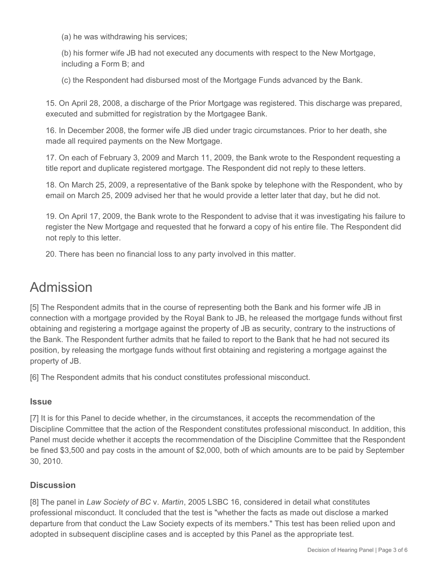(a) he was withdrawing his services;

(b) his former wife JB had not executed any documents with respect to the New Mortgage, including a Form B; and

(c) the Respondent had disbursed most of the Mortgage Funds advanced by the Bank.

15. On April 28, 2008, a discharge of the Prior Mortgage was registered. This discharge was prepared, executed and submitted for registration by the Mortgagee Bank.

16. In December 2008, the former wife JB died under tragic circumstances. Prior to her death, she made all required payments on the New Mortgage.

17. On each of February 3, 2009 and March 11, 2009, the Bank wrote to the Respondent requesting a title report and duplicate registered mortgage. The Respondent did not reply to these letters.

18. On March 25, 2009, a representative of the Bank spoke by telephone with the Respondent, who by email on March 25, 2009 advised her that he would provide a letter later that day, but he did not.

19. On April 17, 2009, the Bank wrote to the Respondent to advise that it was investigating his failure to register the New Mortgage and requested that he forward a copy of his entire file. The Respondent did not reply to this letter.

20. There has been no financial loss to any party involved in this matter.

# Admission

[5] The Respondent admits that in the course of representing both the Bank and his former wife JB in connection with a mortgage provided by the Royal Bank to JB, he released the mortgage funds without first obtaining and registering a mortgage against the property of JB as security, contrary to the instructions of the Bank. The Respondent further admits that he failed to report to the Bank that he had not secured its position, by releasing the mortgage funds without first obtaining and registering a mortgage against the property of JB.

[6] The Respondent admits that his conduct constitutes professional misconduct.

### **Issue**

[7] It is for this Panel to decide whether, in the circumstances, it accepts the recommendation of the Discipline Committee that the action of the Respondent constitutes professional misconduct. In addition, this Panel must decide whether it accepts the recommendation of the Discipline Committee that the Respondent be fined \$3,500 and pay costs in the amount of \$2,000, both of which amounts are to be paid by September 30, 2010.

### **Discussion**

[8] The panel in *Law Society of BC* v. *Martin*, 2005 LSBC 16, considered in detail what constitutes professional misconduct. It concluded that the test is "whether the facts as made out disclose a marked departure from that conduct the Law Society expects of its members." This test has been relied upon and adopted in subsequent discipline cases and is accepted by this Panel as the appropriate test.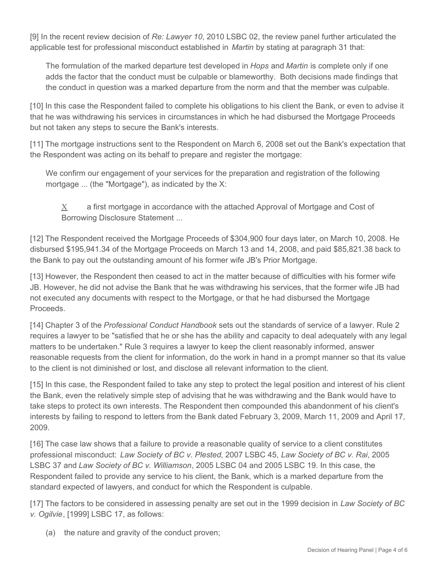[9] In the recent review decision of *Re: Lawyer 10*, 2010 LSBC 02, the review panel further articulated the applicable test for professional misconduct established in *Martin* by stating at paragraph 31 that:

The formulation of the marked departure test developed in *Hops* and *Martin* is complete only if one adds the factor that the conduct must be culpable or blameworthy. Both decisions made findings that the conduct in question was a marked departure from the norm and that the member was culpable.

[10] In this case the Respondent failed to complete his obligations to his client the Bank, or even to advise it that he was withdrawing his services in circumstances in which he had disbursed the Mortgage Proceeds but not taken any steps to secure the Bank's interests.

[11] The mortgage instructions sent to the Respondent on March 6, 2008 set out the Bank's expectation that the Respondent was acting on its behalf to prepare and register the mortgage:

We confirm our engagement of your services for the preparation and registration of the following mortgage ... (the "Mortgage"), as indicated by the X:

 $X$  a first mortgage in accordance with the attached Approval of Mortgage and Cost of Borrowing Disclosure Statement ...

[12] The Respondent received the Mortgage Proceeds of \$304,900 four days later, on March 10, 2008. He disbursed \$195,941.34 of the Mortgage Proceeds on March 13 and 14, 2008, and paid \$85,821.38 back to the Bank to pay out the outstanding amount of his former wife JB's Prior Mortgage.

[13] However, the Respondent then ceased to act in the matter because of difficulties with his former wife JB. However, he did not advise the Bank that he was withdrawing his services, that the former wife JB had not executed any documents with respect to the Mortgage, or that he had disbursed the Mortgage Proceeds.

[14] Chapter 3 of the *Professional Conduct Handbook* sets out the standards of service of a lawyer. Rule 2 requires a lawyer to be "satisfied that he or she has the ability and capacity to deal adequately with any legal matters to be undertaken." Rule 3 requires a lawyer to keep the client reasonably informed, answer reasonable requests from the client for information, do the work in hand in a prompt manner so that its value to the client is not diminished or lost, and disclose all relevant information to the client.

[15] In this case, the Respondent failed to take any step to protect the legal position and interest of his client the Bank, even the relatively simple step of advising that he was withdrawing and the Bank would have to take steps to protect its own interests. The Respondent then compounded this abandonment of his client's interests by failing to respond to letters from the Bank dated February 3, 2009, March 11, 2009 and April 17, 2009.

[16] The case law shows that a failure to provide a reasonable quality of service to a client constitutes professional misconduct: *Law Society of BC v. Plested*, 2007 LSBC 45, *Law Society of BC v. Rai*, 2005 LSBC 37 and *Law Society of BC v. Williamson*, 2005 LSBC 04 and 2005 LSBC 19. In this case, the Respondent failed to provide any service to his client, the Bank, which is a marked departure from the standard expected of lawyers, and conduct for which the Respondent is culpable.

[17] The factors to be considered in assessing penalty are set out in the 1999 decision in *Law Society of BC v. Ogilvie*, [1999] LSBC 17, as follows:

(a) the nature and gravity of the conduct proven;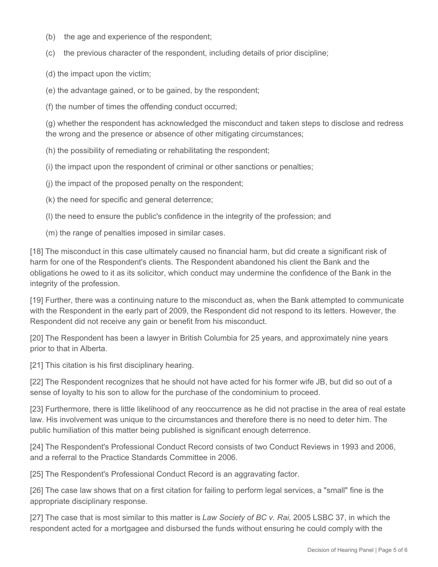- (b) the age and experience of the respondent;
- (c) the previous character of the respondent, including details of prior discipline;

(d) the impact upon the victim;

(e) the advantage gained, or to be gained, by the respondent;

(f) the number of times the offending conduct occurred;

(g) whether the respondent has acknowledged the misconduct and taken steps to disclose and redress the wrong and the presence or absence of other mitigating circumstances;

(h) the possibility of remediating or rehabilitating the respondent;

(i) the impact upon the respondent of criminal or other sanctions or penalties;

(j) the impact of the proposed penalty on the respondent;

(k) the need for specific and general deterrence;

(l) the need to ensure the public's confidence in the integrity of the profession; and

(m) the range of penalties imposed in similar cases.

[18] The misconduct in this case ultimately caused no financial harm, but did create a significant risk of harm for one of the Respondent's clients. The Respondent abandoned his client the Bank and the obligations he owed to it as its solicitor, which conduct may undermine the confidence of the Bank in the integrity of the profession.

[19] Further, there was a continuing nature to the misconduct as, when the Bank attempted to communicate with the Respondent in the early part of 2009, the Respondent did not respond to its letters. However, the Respondent did not receive any gain or benefit from his misconduct.

[20] The Respondent has been a lawyer in British Columbia for 25 years, and approximately nine years prior to that in Alberta.

[21] This citation is his first disciplinary hearing.

[22] The Respondent recognizes that he should not have acted for his former wife JB, but did so out of a sense of loyalty to his son to allow for the purchase of the condominium to proceed.

[23] Furthermore, there is little likelihood of any reoccurrence as he did not practise in the area of real estate law. His involvement was unique to the circumstances and therefore there is no need to deter him. The public humiliation of this matter being published is significant enough deterrence.

[24] The Respondent's Professional Conduct Record consists of two Conduct Reviews in 1993 and 2006, and a referral to the Practice Standards Committee in 2006.

[25] The Respondent's Professional Conduct Record is an aggravating factor.

[26] The case law shows that on a first citation for failing to perform legal services, a "small" fine is the appropriate disciplinary response.

[27] The case that is most similar to this matter is *Law Society of BC v. Rai,* 2005 LSBC 37, in which the respondent acted for a mortgagee and disbursed the funds without ensuring he could comply with the